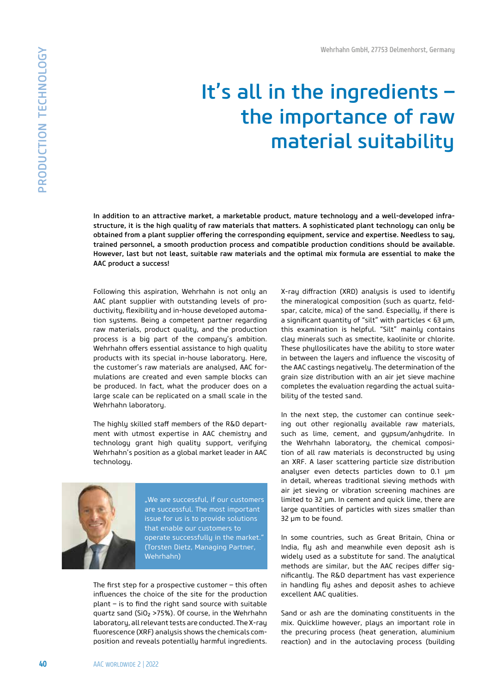## It's all in the ingredients – the importance of raw material suitability

In addition to an attractive market, a marketable product, mature technology and a well-developed infrastructure, it is the high quality of raw materials that matters. A sophisticated plant technology can only be obtained from a plant supplier offering the corresponding equipment, service and expertise. Needless to say, trained personnel, a smooth production process and compatible production conditions should be available. However, last but not least, suitable raw materials and the optimal mix formula are essential to make the AAC product a success!

Following this aspiration, Wehrhahn is not only an AAC plant supplier with outstanding levels of productivity, flexibility and in-house developed automation systems. Being a competent partner regarding raw materials, product quality, and the production process is a big part of the company's ambition. Wehrhahn offers essential assistance to high quality products with its special in-house laboratory. Here, the customer's raw materials are analysed, AAC formulations are created and even sample blocks can be produced. In fact, what the producer does on a large scale can be replicated on a small scale in the Wehrhahn laboratory.

The highly skilled staff members of the R&D department with utmost expertise in AAC chemistry and technology grant high quality support, verifying Wehrhahn's position as a global market leader in AAC technology.



"We are successful, if our customers are successful. The most important issue for us is to provide solutions that enable our customers to operate successfully in the market." (Torsten Dietz, Managing Partner, Wehrhahn)

The first step for a prospective customer  $-$  this often influences the choice of the site for the production  $plan$  – is to find the right sand source with suitable quartz sand (SiO2 >75%). Of course, in the Wehrhahn laboratory, all relevant tests are conducted. The X-ray fluorescence (XRF) analysis shows the chemicals composition and reveals potentially harmful ingredients.

X-ray diffraction (XRD) analysis is used to identify the mineralogical composition (such as quartz, feldspar, calcite, mica) of the sand. Especially, if there is a significant quantity of "silt" with particles  $<$  63 µm, this examination is helpful. "Silt" mainly contains clay minerals such as smectite, kaolinite or chlorite. These phyllosilicates have the ability to store water in between the layers and influence the viscosity of the AAC castings negatively. The determination of the grain size distribution with an air jet sieve machine completes the evaluation regarding the actual suitability of the tested sand.

In the next step, the customer can continue seeking out other regionally available raw materials, such as lime, cement, and gypsum/anhydrite. In the Wehrhahn laboratory, the chemical composition of all raw materials is deconstructed by using an XRF. A laser scattering particle size distribution analyser even detects particles down to 0.1 µm in detail, whereas traditional sieving methods with air jet sieving or vibration screening machines are limited to 32 µm. In cement and quick lime, there are large quantities of particles with sizes smaller than 32 µm to be found.

In some countries, such as Great Britain, China or India, fly ash and meanwhile even deposit ash is widely used as a substitute for sand. The analytical methods are similar, but the AAC recipes differ significantly. The R&D department has vast experience in handling fly ashes and deposit ashes to achieve excellent AAC qualities.

Sand or ash are the dominating constituents in the mix. Quicklime however, plays an important role in the precuring process (heat generation, aluminium reaction) and in the autoclaving process (building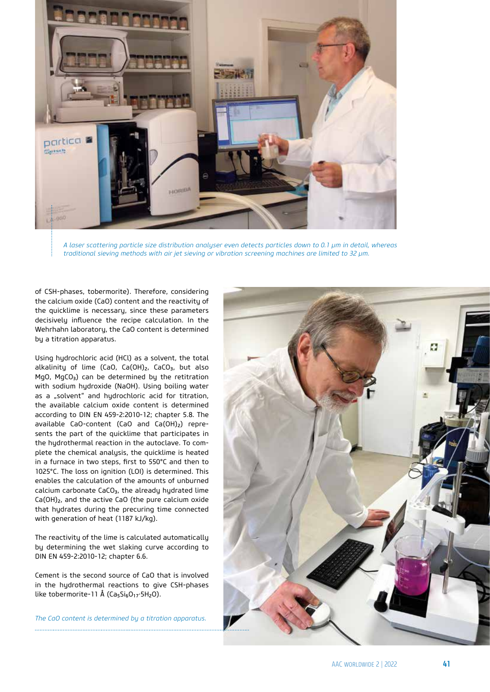

*A laser scattering particle size distribution analyser even detects particles down to 0.1 µm in detail, whereas traditional sieving methods with air jet sieving or vibration screening machines are limited to 32 µm.*

of CSH-phases, tobermorite). Therefore, considering the calcium oxide (CaO) content and the reactivity of the quicklime is necessary, since these parameters decisively influence the recipe calculation. In the Wehrhahn laboratory, the CaO content is determined by a titration apparatus.

Using hydrochloric acid (HCl) as a solvent, the total alkalinity of lime (CaO, Ca(OH) $_2$ , CaCO $_3$ , but also MgO, MgCO<sub>3</sub>) can be determined by the retitration with sodium hydroxide (NaOH). Using boiling water as a "solvent" and hydrochloric acid for titration, the available calcium oxide content is determined according to DIN EN 459-2:2010-12; chapter 5.8. The available CaO-content (CaO and  $Ca(OH)_2$ ) represents the part of the quicklime that participates in the hydrothermal reaction in the autoclave. To complete the chemical analysis, the quicklime is heated in a furnace in two steps, first to 550°C and then to 1025°C. The loss on ignition (LOI) is determined. This enables the calculation of the amounts of unburned calcium carbonate CaCO<sub>3</sub>, the already hydrated lime Ca(OH)2, and the active CaO (the pure calcium oxide that hydrates during the precuring time connected with generation of heat (1187 kJ/kg).

The reactivity of the lime is calculated automatically by determining the wet slaking curve according to DIN EN 459-2:2010-12; chapter 6.6.

Cement is the second source of CaO that is involved in the hydrothermal reactions to give CSH-phases like tobermorite-11 Å ( $Ca<sub>5</sub>Si<sub>6</sub>O<sub>17</sub>·5H<sub>2</sub>O$ ).

*The CaO content is determined by a titration apparatus.*

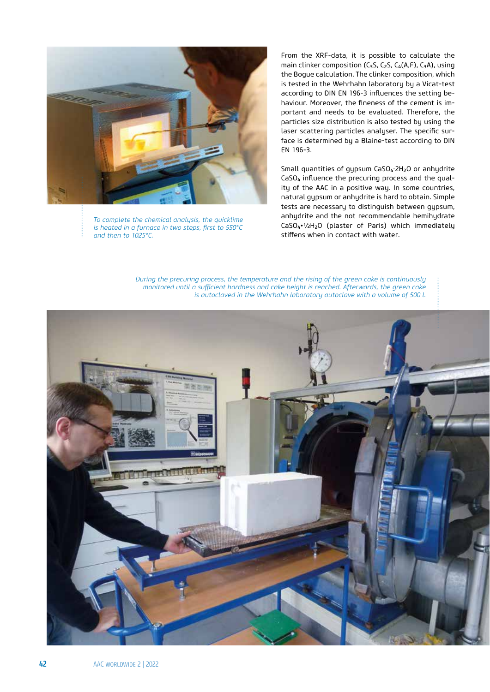

*To complete the chemical analysis, the quicklime is heated in a furnace in two steps, first to 550°C and then to 1025°C.*

From the XRF-data, it is possible to calculate the main clinker composition ( $C_3S$ ,  $C_2S$ ,  $C_4(A,F)$ ,  $C_3A$ ), using the Bogue calculation. The clinker composition, which is tested in the Wehrhahn laboratory by a Vicat-test according to DIN EN 196-3 influences the setting behaviour. Moreover, the fineness of the cement is important and needs to be evaluated. Therefore, the particles size distribution is also tested by using the laser scattering particles analyser. The specific surface is determined by a Blaine-test according to DIN EN 196-3.

Small quantities of gypsum CaSO<sub>4</sub>·2H<sub>2</sub>O or anhydrite  $CaSO<sub>4</sub>$  influence the precuring process and the quality of the AAC in a positive way. In some countries, natural gypsum or anhydrite is hard to obtain. Simple tests are necessary to distinguish between gypsum, anhydrite and the not recommendable hemihydrate CaSO4•½H2O (plaster of Paris) which immediately stiffens when in contact with water.



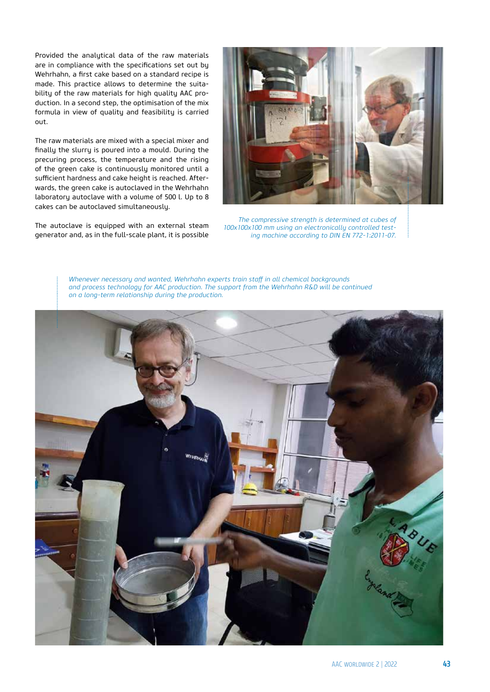Provided the analytical data of the raw materials are in compliance with the specifications set out by Wehrhahn, a first cake based on a standard recipe is made. This practice allows to determine the suitability of the raw materials for high quality AAC production. In a second step, the optimisation of the mix formula in view of quality and feasibility is carried out.

The raw materials are mixed with a special mixer and finally the slurry is poured into a mould. During the precuring process, the temperature and the rising of the green cake is continuously monitored until a sufficient hardness and cake height is reached. Afterwards, the green cake is autoclaved in the Wehrhahn laboratory autoclave with a volume of 500 l. Up to 8 cakes can be autoclaved simultaneously.

The autoclave is equipped with an external steam generator and, as in the full-scale plant, it is possible



*The compressive strength is determined at cubes of 100x100x100 mm using an electronically controlled testing machine according to DIN EN 772-1:2011-07.*

*Whenever necessary and wanted, Wehrhahn experts train sta# in all chemical backgrounds and process technology for AAC production. The support from the Wehrhahn R&D will be continued on a long-term relationship during the production.*